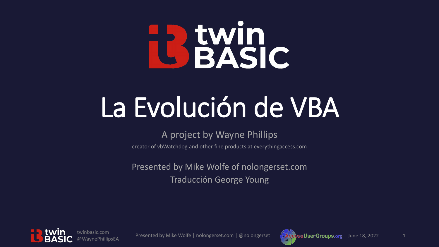# **BEWind**

# La Evolución de VBA

#### A project by Wayne Phillips

creator of vbWatchdog and other fine products at everythingaccess.com

Presented by Mike Wolfe of nolongerset.com Traducción George Young



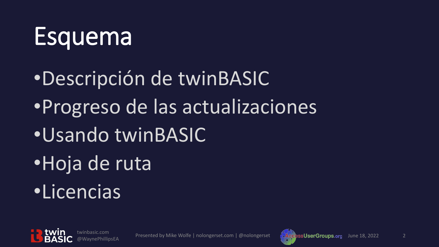#### **Esquema**

•Descripción de twinBASIC •Progreso de las actualizaciones •Usando twinBASIC •Hoja de ruta •Licencias



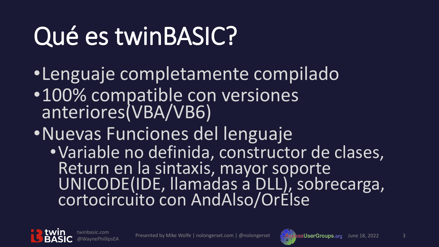## Qué es twinBASIC?

- •Lenguaje completamente compilado
- •100% compatible con versiones anteriores(VBA/VB6)
- •Nuevas Funciones del lenguaje
	- •Variable no definida, constructor de clases, Return en la sintaxis, mayor soporte UNICODE(IDE, llamadas a DLL), sobrecarga, cortocircuito con AndAlso/OrElse



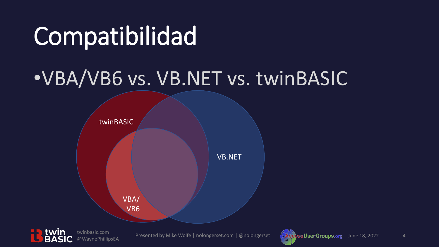#### Compatibilidad

#### •VBA/VB6 vs. VB.NET vs. twinBASIC





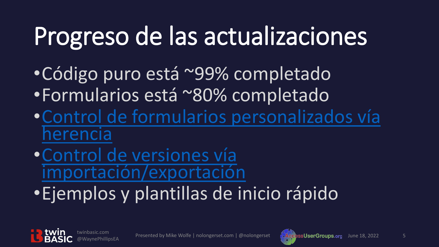#### Progreso de las actualizaciones

- •Código puro está ~99% completado •Formularios está ~80% completado
- •[Control de formularios personalizados vía](https://github.com/WaynePhillipsEA/twinbasic/discussions/707) herencia
- •Control de versiones vía [importación/exportación](https://nolongerset.com/version-control-with-twinbasic/)
- •Ejemplos y plantillas de inicio rápido



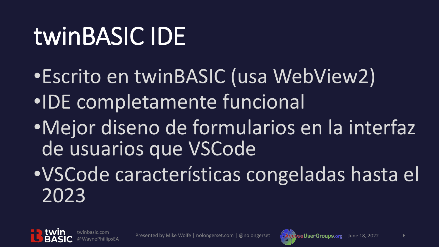### twinBASIC IDE

- •Escrito en twinBASIC (usa WebView2) •IDE completamente funcional
- •Mejor diseno de formularios en la interfaz de usuarios que VSCode
- •VSCode características congeladas hasta el 2023



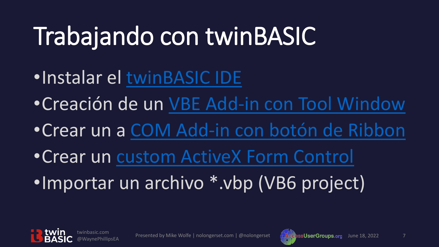### Trabajando con twinBASIC

- •Instalar el [twinBASIC IDE](https://github.com/WaynePhillipsEA/twinbasic/releases)
- •Creación de un [VBE Add-in con Tool Window](https://nolongerset.com/create-a-vbe-addin-with-twinbasic/)
- •Crear un a [COM Add-in con botón](https://nolongerset.com/create-com-addin-with-twinbasic/) de Ribbon
- •Crear un [custom ActiveX Form Control](https://nolongerset.com/create-activex-control-with-twinbasic/)
- •Importar un archivo \*.vbp (VB6 project)



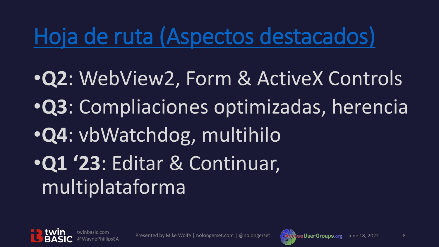#### [Hoja de ruta](https://github.com/WaynePhillipsEA/twinbasic/issues/335) (Aspectos destacados)

•**Q2**: WebView2, Form & ActiveX Controls •**Q3**: Compliaciones optimizadas, herencia •**Q4**: vbWatchdog, multihilo •**Q1 '23**: Editar & Continuar, multiplataforma



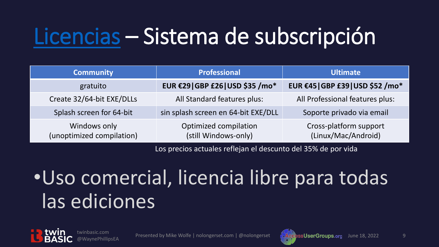#### [Licencias](https://twinbasic.com/preorder.html) – Sistema de subscripción

| <b>Community</b>                          | <b>Professional</b>                           | <b>Ultimate</b>                               |
|-------------------------------------------|-----------------------------------------------|-----------------------------------------------|
| gratuito                                  | EUR €29 GBP £26 USD \$35 /mo*                 | EUR €45   GBP £39   USD \$52 / mo*            |
| Create 32/64-bit EXE/DLLs                 | All Standard features plus:                   | All Professional features plus:               |
| Splash screen for 64-bit                  | sin splash screen en 64-bit EXE/DLL           | Soporte privado via email                     |
| Windows only<br>(unoptimized compilation) | Optimized compilation<br>(still Windows-only) | Cross-platform support<br>(Linux/Mac/Android) |

Los precios actuales reflejan el descunto del 35% de por vida

#### •Uso comercial, licencia libre para todas las ediciones